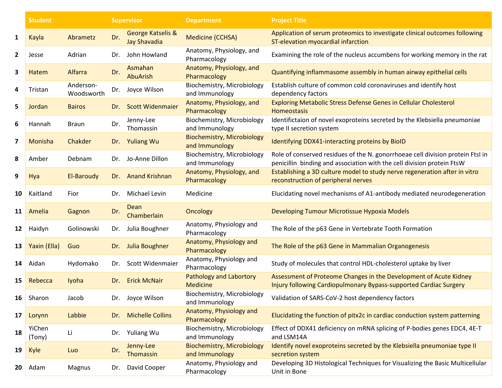|                         | <b>Student</b>   |                         | <b>Supervisor</b> |                                          | <b>Department</b>                                   | <b>Project Title</b>                                                                                                                                     |
|-------------------------|------------------|-------------------------|-------------------|------------------------------------------|-----------------------------------------------------|----------------------------------------------------------------------------------------------------------------------------------------------------------|
| 1                       | Kayla            | Abrametz                | Dr.               | George Katselis &<br><b>Jay Shavadia</b> | <b>Medicine (CCHSA)</b>                             | Application of serum proteomics to investigate clinical outcomes following<br>ST-elevation myocardial infarction                                         |
| $\overline{\mathbf{2}}$ | Jesse            | Adrian                  | Dr.               | John Howland                             | Anatomy, Physiology, and<br>Pharmacology            | Examining the role of the nucleus accumbens for working memory in the rat                                                                                |
| 3                       | Hatem            | Alfarra                 | Dr.               | Asmahan<br><b>AbuArish</b>               | Anatomy, Physiology, and<br>Pharmacology            | Quantifying inflammasome assembly in human airway epithelial cells                                                                                       |
| 4                       | Tristan          | Anderson-<br>Woodsworth |                   | Dr. Joyce Wilson                         | Biochemistry, Microbiology<br>and Immunology        | Establish culture of common cold coronaviruses and identify host<br>dependency factors                                                                   |
| 5                       | Jordan           | <b>Bairos</b>           | Dr.               | <b>Scott Widenmaier</b>                  | Anatomy, Physiology, and<br>Pharmacology            | Exploring Metabolic Stress Defense Genes in Cellular Cholesterol<br><b>Homeostasis</b>                                                                   |
| 6                       | Hannah           | <b>Braun</b>            | Dr.               | Jenny-Lee<br>Thomassin                   | Biochemistry, Microbiology<br>and Immunology        | Identifictaion of novel exoproteins secreted by the Klebsiella pneumoniae<br>type II secretion system                                                    |
| 7                       | Monisha          | Chakder                 | Dr.               | <b>Yuliang Wu</b>                        | <b>Biochemistry, Microbiology</b><br>and Immunology | Identifying DDX41-interacting proteins by BioID                                                                                                          |
| 8                       | Amber            | Debnam                  | Dr.               | Jo-Anne Dillon                           | Biochemistry, Microbiology<br>and Immunology        | Role of conserved residues of the N. gonorrhoeae cell division protein FtsI in<br>penicillin binding and association with the cell division protein FtsW |
| 9                       | Hya              | El-Baroudy              | Dr.               | <b>Anand Krishnan</b>                    | Anatomy, Physiology, and<br>Pharmacology            | Establishing a 3D culture model to study nerve regeneration after in vitro<br>reconstruction of peripheral nerves                                        |
| 10                      | Kaitland         | Fior                    | Dr.               | Michael Levin                            | Medicine                                            | Elucidating novel mechanisms of A1-antibody mediated neurodegeneration                                                                                   |
| 11                      | Amelia           | Gagnon                  | Dr.               | Dean<br>Chamberlain                      | Oncology                                            | Developing Tumour Microtissue Hypoxia Models                                                                                                             |
| 12                      | Haidyn           | Golinowski              | Dr.               | Julia Boughner                           | Anatomy, Physiology and<br>Pharmacology             | The Role of the p63 Gene in Vertebrate Tooth Formation                                                                                                   |
| 13                      | Yaxin (Ella)     | Guo                     | Dr.               | Julia Boughner                           | Anatomy, Physiology and<br>Pharmacology             | The Role of the p63 Gene in Mammalian Organogenesis                                                                                                      |
| 14                      | Aidan            | Hydomako                | Dr.               | Scott Widenmaier                         | Anatomy, Physiology and<br>Pharmacology             | Study of molecules that control HDL-cholesterol uptake by liver                                                                                          |
| 15                      | Rebecca          | Iyoha                   | Dr.               | <b>Erick McNair</b>                      | Pathology and Labortory<br><b>Medicine</b>          | Assessment of Proteome Changes in the Development of Acute Kidney<br>Injury following Cardiopulmonary Bypass-supported Cardiac Surgery                   |
| 16                      | Sharon           | Jacob                   |                   | Dr. Joyce Wilson                         | Biochemistry, Microbiology<br>and Immunology        | Validation of SARS-CoV-2 host dependency factors                                                                                                         |
| 17                      | Lorynn           | Labbie                  | Dr.               | <b>Michelle Collins</b>                  | Anatomy, Physiology and<br>Pharmacology             | Elucidating the function of pitx2c in cardiac conduction system patterning                                                                               |
| 18                      | YiChen<br>(Tony) | Li                      |                   | Dr. Yuliang Wu                           | Biochemistry, Microbiology<br>and Immunology        | Effect of DDX41 deficiency on mRNA splicing of P-bodies genes EDC4, 4E-T<br>and LSM14A                                                                   |
| 19                      | Kyle             | Luo                     | Dr.               | Jenny-Lee<br>Thomassin                   | <b>Biochemistry, Microbiology</b><br>and Immunology | Identify novel exoproteins secreted by the Klebsiella pneumoniae type II<br>secretion system                                                             |
| 20                      | Adam             | Magnus                  | Dr.               | David Cooper                             | Anatomy, Physiology and<br>Pharmacology             | Developing 3D Histological Techniques for Visualizing the Basic Multicellular<br>Unit in Bone                                                            |